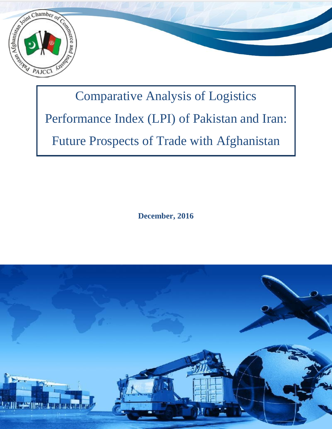

# Comparative Analysis of Logistics Performance Index (LPI) of Pakistan and Iran: Future Prospects of Trade with Afghanistan

**December, 2016**

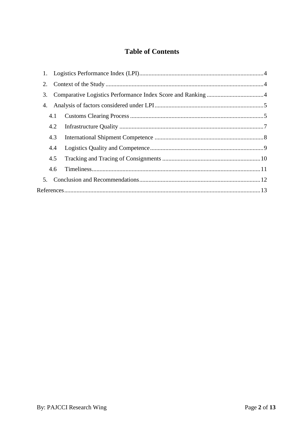# **Table of Contents**

| 3.             |  |
|----------------|--|
| 4.             |  |
| 4.1            |  |
| 4.2            |  |
| 4.3            |  |
| 4.4            |  |
| 4.5            |  |
| 4.6            |  |
| 5 <sub>1</sub> |  |
|                |  |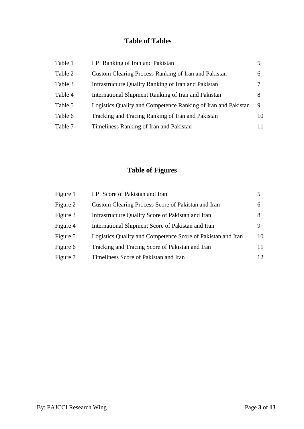# **Table of Tables**

| Table 1 | LPI Ranking of Iran and Pakistan                              |    |
|---------|---------------------------------------------------------------|----|
| Table 2 | Custom Clearing Process Ranking of Iran and Pakistan          | 6  |
| Table 3 | Infrastructure Quality Ranking of Iran and Pakistan           |    |
| Table 4 | International Shipment Ranking of Iran and Pakistan           | 8  |
| Table 5 | Logistics Quality and Competence Ranking of Iran and Pakistan | 9  |
| Table 6 | Tracking and Tracing Ranking of Iran and Pakistan             | 10 |
| Table 7 | Timeliness Ranking of Iran and Pakistan                       | 11 |

# **Table of Figures**

| Figure 1 | LPI Score of Pakistan and Iran                              |    |
|----------|-------------------------------------------------------------|----|
| Figure 2 | Custom Clearing Process Score of Pakistan and Iran          | 6  |
| Figure 3 | Infrastructure Quality Score of Pakistan and Iran           | 8  |
| Figure 4 | International Shipment Score of Pakistan and Iran           | 9  |
| Figure 5 | Logistics Quality and Competence Score of Pakistan and Iran | 10 |
| Figure 6 | Tracking and Tracing Score of Pakistan and Iran             | 11 |
| Figure 7 | Timeliness Score of Pakistan and Iran                       | 12 |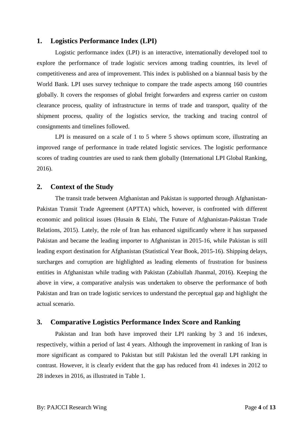#### <span id="page-3-0"></span>**1. Logistics Performance Index (LPI)**

Logistic performance index (LPI) is an interactive, internationally developed tool to explore the performance of trade logistic services among trading countries, its level of competitiveness and area of improvement. This index is published on a biannual basis by the World Bank. LPI uses survey technique to compare the trade aspects among 160 countries globally. It covers the responses of global freight forwarders and express carrier on custom clearance process, quality of infrastructure in terms of trade and transport, quality of the shipment process, quality of the logistics service, the tracking and tracing control of consignments and timelines followed.

LPI is measured on a scale of 1 to 5 where 5 shows optimum score, illustrating an improved range of performance in trade related logistic services. The logistic performance scores of trading countries are used to rank them globally (International LPI Global Ranking, 2016).

### <span id="page-3-1"></span>**2. Context of the Study**

The transit trade between Afghanistan and Pakistan is supported through Afghanistan-Pakistan Transit Trade Agreement (APTTA) which, however, is confronted with different economic and political issues (Husain & Elahi, The Future of Afghanistan-Pakistan Trade Relations, 2015). Lately, the role of Iran has enhanced significantly where it has surpassed Pakistan and became the leading importer to Afghanistan in 2015-16, while Pakistan is still leading export destination for Afghanistan (Statistical Year Book, 2015-16). Shipping delays, surcharges and corruption are highlighted as leading elements of frustration for business entities in Afghanistan while trading with Pakistan (Zabiullah Jhanmal, 2016). Keeping the above in view, a comparative analysis was undertaken to observe the performance of both Pakistan and Iran on trade logistic services to understand the perceptual gap and highlight the actual scenario.

#### <span id="page-3-2"></span>**3. Comparative Logistics Performance Index Score and Ranking**

Pakistan and Iran both have improved their LPI ranking by 3 and 16 indexes, respectively, within a period of last 4 years. Although the improvement in ranking of Iran is more significant as compared to Pakistan but still Pakistan led the overall LPI ranking in contrast. However, it is clearly evident that the gap has reduced from 41 indexes in 2012 to 28 indexes in 2016, as illustrated in Table 1.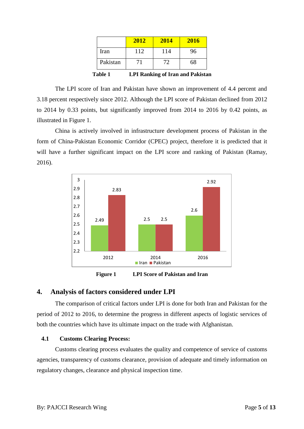|                          | 2012 | 2014 | 2016 |
|--------------------------|------|------|------|
| Iran                     | 112  | 114  | 96   |
| Pakistan                 | 71   | 72   | 68   |
| 1114<br>ININ I' et INI'L |      |      |      |

**Table 1 LPI Ranking of Iran and Pakistan**

The LPI score of Iran and Pakistan have shown an improvement of 4.4 percent and 3.18 percent respectively since 2012. Although the LPI score of Pakistan declined from 2012 to 2014 by 0.33 points, but significantly improved from 2014 to 2016 by 0.42 points, as illustrated in Figure 1.

China is actively involved in infrastructure development process of Pakistan in the form of China-Pakistan Economic Corridor (CPEC) project, therefore it is predicted that it will have a further significant impact on the LPI score and ranking of Pakistan (Ramay, 2016).



**Figure 1 LPI Score of Pakistan and Iran**

#### <span id="page-4-0"></span>**4. Analysis of factors considered under LPI**

The comparison of critical factors under LPI is done for both Iran and Pakistan for the period of 2012 to 2016, to determine the progress in different aspects of logistic services of both the countries which have its ultimate impact on the trade with Afghanistan.

#### <span id="page-4-1"></span>**4.1 Customs Clearing Process:**

Customs clearing process evaluates the quality and competence of service of customs agencies, transparency of customs clearance, provision of adequate and timely information on regulatory changes, clearance and physical inspection time.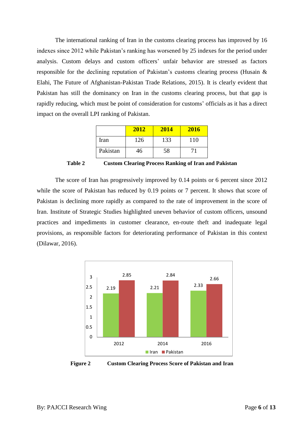The international ranking of Iran in the customs clearing process has improved by 16 indexes since 2012 while Pakistan's ranking has worsened by 25 indexes for the period under analysis. Custom delays and custom officers' unfair behavior are stressed as factors responsible for the declining reputation of Pakistan's customs clearing process (Husain & Elahi, The Future of Afghanistan-Pakistan Trade Relations, 2015). It is clearly evident that Pakistan has still the dominancy on Iran in the customs clearing process, but that gap is rapidly reducing, which must be point of consideration for customs' officials as it has a direct impact on the overall LPI ranking of Pakistan.

|          | 2012 | 2014 | 2016 |
|----------|------|------|------|
| Iran     | 126  | 133  | 110  |
| Pakistan | 46   | 58   |      |

**Table 2 Custom Clearing Process Ranking of Iran and Pakistan**

The score of Iran has progressively improved by 0.14 points or 6 percent since 2012 while the score of Pakistan has reduced by 0.19 points or 7 percent. It shows that score of Pakistan is declining more rapidly as compared to the rate of improvement in the score of Iran. Institute of Strategic Studies highlighted uneven behavior of custom officers, unsound practices and impediments in customer clearance, en-route theft and inadequate legal provisions, as responsible factors for deteriorating performance of Pakistan in this context (Dilawar, 2016).



**Figure 2 Custom Clearing Process Score of Pakistan and Iran**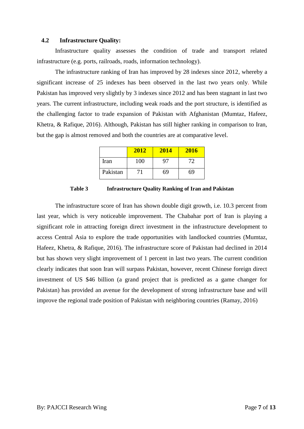#### <span id="page-6-0"></span>**4.2 Infrastructure Quality:**

Infrastructure quality assesses the condition of trade and transport related infrastructure (e.g. ports, railroads, roads, information technology).

The infrastructure ranking of Iran has improved by 28 indexes since 2012, whereby a significant increase of 25 indexes has been observed in the last two years only. While Pakistan has improved very slightly by 3 indexes since 2012 and has been stagnant in last two years. The current infrastructure, including weak roads and the port structure, is identified as the challenging factor to trade expansion of Pakistan with Afghanistan (Mumtaz, Hafeez, Khetra, & Rafique, 2016). Although, Pakistan has still higher ranking in comparison to Iran, but the gap is almost removed and both the countries are at comparative level.

|          | 2012 | 2014 | 2016 |
|----------|------|------|------|
| Iran     | 100  |      | 72   |
| Pakistan |      | 69   | 69   |

**Table 3 Infrastructure Quality Ranking of Iran and Pakistan**

The infrastructure score of Iran has shown double digit growth, i.e. 10.3 percent from last year, which is very noticeable improvement. The Chabahar port of Iran is playing a significant role in attracting foreign direct investment in the infrastructure development to access Central Asia to explore the trade opportunities with landlocked countries (Mumtaz, Hafeez, Khetra, & Rafique, 2016). The infrastructure score of Pakistan had declined in 2014 but has shown very slight improvement of 1 percent in last two years. The current condition clearly indicates that soon Iran will surpass Pakistan, however, recent Chinese foreign direct investment of US \$46 billion (a grand project that is predicted as a game changer for Pakistan) has provided an avenue for the development of strong infrastructure base and will improve the regional trade position of Pakistan with neighboring countries (Ramay, 2016)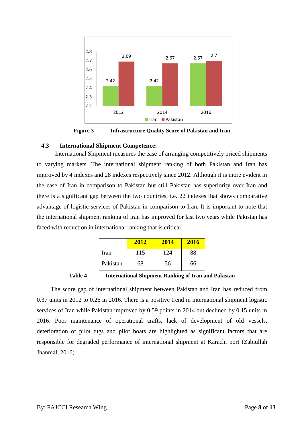

<span id="page-7-0"></span>**Figure 3 Infrastructure Quality Score of Pakistan and Iran**

#### **4.3 International Shipment Competence:**

International Shipment measures the ease of arranging competitively priced shipments to varying markets. The international shipment ranking of both Pakistan and Iran has improved by 4 indexes and 28 indexes respectively since 2012. Although it is more evident in the case of Iran in comparison to Pakistan but still Pakistan has superiority over Iran and there is a significant gap between the two countries, i.e. 22 indexes that shows comparative advantage of logistic services of Pakistan in comparison to Iran. It is important to note that the international shipment ranking of Iran has improved for last two years while Pakistan has faced with reduction in international ranking that is critical.

|          | 2012 | 2014 | 2016 |
|----------|------|------|------|
| Iran     | 115  | 124  | 88   |
| Pakistan | 68   | 56   | 66   |

**Table 4 International Shipment Ranking of Iran and Pakistan**

The score gap of international shipment between Pakistan and Iran has reduced from 0.37 units in 2012 to 0.26 in 2016. There is a positive trend in international shipment logistic services of Iran while Pakistan improved by 0.59 points in 2014 but declined by 0.15 units in 2016. Poor maintenance of operational crafts, lack of development of old vessels, deterioration of pilot tugs and pilot boats are highlighted as significant factors that are responsible for degraded performance of international shipment at Karachi port (Zabiullah Jhanmal, 2016).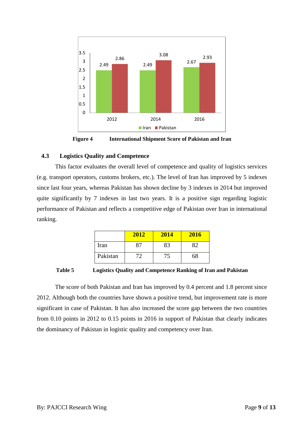

**Figure 4 International Shipment Score of Pakistan and Iran**

#### <span id="page-8-0"></span>**4.3 Logistics Quality and Competence**

This factor evaluates the overall level of competence and quality of logistics services (e.g. transport operators, customs brokers, etc.). The level of Iran has improved by 5 indexes since last four years, whereas Pakistan has shown decline by 3 indexes in 2014 but improved quite significantly by 7 indexes in last two years. It is a positive sign regarding logistic performance of Pakistan and reflects a competitive edge of Pakistan over Iran in international ranking.

|          | 2012 | 2014 | 2016 |
|----------|------|------|------|
| Iran     |      | 83   |      |
| Pakistan |      |      | 68   |

**Table 5 Logistics Quality and Competence Ranking of Iran and Pakistan**

The score of both Pakistan and Iran has improved by 0.4 percent and 1.8 percent since 2012. Although both the countries have shown a positive trend, but improvement rate is more significant in case of Pakistan. It has also increased the score gap between the two countries from 0.10 points in 2012 to 0.15 points in 2016 in support of Pakistan that clearly indicates the dominancy of Pakistan in logistic quality and competency over Iran.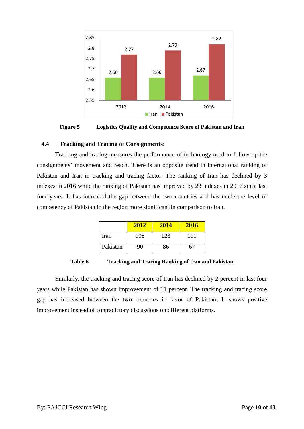

**Figure 5 Logistics Quality and Competence Score of Pakistan and Iran**

#### <span id="page-9-0"></span>**4.4 Tracking and Tracing of Consignments:**

Tracking and tracing measures the performance of technology used to follow-up the consignments' movement and reach. There is an opposite trend in international ranking of Pakistan and Iran in tracking and tracing factor. The ranking of Iran has declined by 3 indexes in 2016 while the ranking of Pakistan has improved by 23 indexes in 2016 since last four years. It has increased the gap between the two countries and has made the level of competency of Pakistan in the region more significant in comparison to Iran.

|          | 2012 | 2014 | <b>2016</b> |
|----------|------|------|-------------|
| Iran     | 108  | 123  | 111         |
| Pakistan | 90   | 86   |             |

**Table 6 Tracking and Tracing Ranking of Iran and Pakistan**

Similarly, the tracking and tracing score of Iran has declined by 2 percent in last four years while Pakistan has shown improvement of 11 percent. The tracking and tracing score gap has increased between the two countries in favor of Pakistan. It shows positive improvement instead of contradictory discussions on different platforms.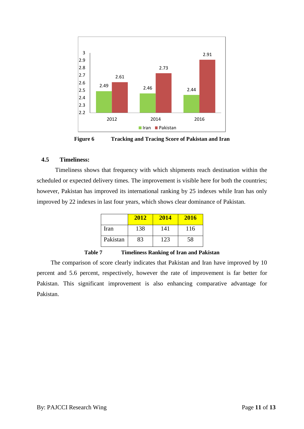

**Figure 6 Tracking and Tracing Score of Pakistan and Iran**

#### <span id="page-10-0"></span>**4.5 Timeliness:**

Timeliness shows that frequency with which shipments reach destination within the scheduled or expected delivery times. The improvement is visible here for both the countries; however, Pakistan has improved its international ranking by 25 indexes while Iran has only improved by 22 indexes in last four years, which shows clear dominance of Pakistan.

|          | 2012 | 2014 | 2016 |
|----------|------|------|------|
| Iran     | 138  | 141  | 116  |
| Pakistan | 83   | 123  | 58   |

**Table 7 Timeliness Ranking of Iran and Pakistan**

The comparison of score clearly indicates that Pakistan and Iran have improved by 10 percent and 5.6 percent, respectively, however the rate of improvement is far better for Pakistan. This significant improvement is also enhancing comparative advantage for Pakistan.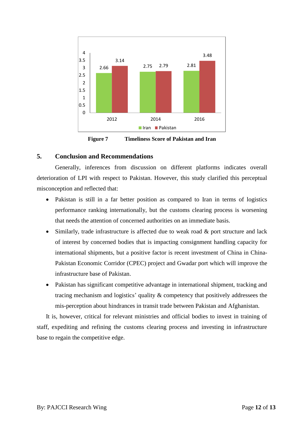

**Figure 7 Timeliness Score of Pakistan and Iran**

#### <span id="page-11-0"></span>**5. Conclusion and Recommendations**

Generally, inferences from discussion on different platforms indicates overall deterioration of LPI with respect to Pakistan. However, this study clarified this perceptual misconception and reflected that:

- Pakistan is still in a far better position as compared to Iran in terms of logistics performance ranking internationally, but the customs clearing process is worsening that needs the attention of concerned authorities on an immediate basis.
- Similarly, trade infrastructure is affected due to weak road & port structure and lack of interest by concerned bodies that is impacting consignment handling capacity for international shipments, but a positive factor is recent investment of China in China-Pakistan Economic Corridor (CPEC) project and Gwadar port which will improve the infrastructure base of Pakistan.
- Pakistan has significant competitive advantage in international shipment, tracking and tracing mechanism and logistics' quality & competency that positively addressees the mis-perception about hindrances in transit trade between Pakistan and Afghanistan.

It is, however, critical for relevant ministries and official bodies to invest in training of staff, expediting and refining the customs clearing process and investing in infrastructure base to regain the competitive edge.